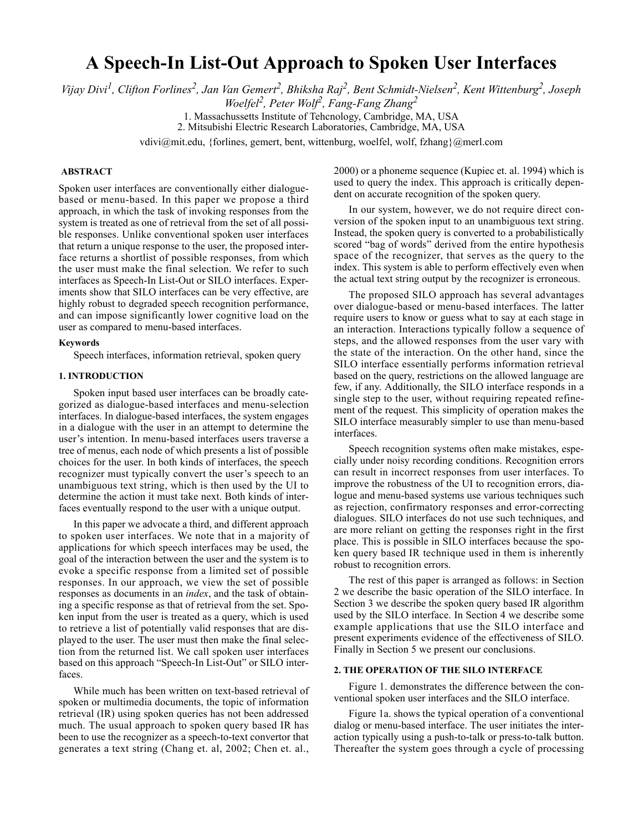# **A Speech-In List-Out Approach to Spoken User Interfaces**

*Vijay Divi<sup>1</sup> , Clifton Forlines<sup>2</sup> , Jan Van Gemert<sup>2</sup> , Bhiksha Raj2, Bent Schmidt-Nielsen2 , Kent Wittenburg2 , Joseph Woelfel2, Peter Wolf2, Fang-Fang Zhang2*

> 1. Massachussetts Institute of Tehcnology, Cambridge, MA, USA 2. Mitsubishi Electric Research Laboratories, Cambridge, MA, USA

vdivi@mit.edu, {forlines, gemert, bent, wittenburg, woelfel, wolf, fzhang}@merl.com

# **ABSTRACT**

Spoken user interfaces are conventionally either dialoguebased or menu-based. In this paper we propose a third approach, in which the task of invoking responses from the system is treated as one of retrieval from the set of all possible responses. Unlike conventional spoken user interfaces that return a unique response to the user, the proposed interface returns a shortlist of possible responses, from which the user must make the final selection. We refer to such interfaces as Speech-In List-Out or SILO interfaces. Experiments show that SILO interfaces can be very effective, are highly robust to degraded speech recognition performance, and can impose significantly lower cognitive load on the user as compared to menu-based interfaces.

### **Keywords**

Speech interfaces, information retrieval, spoken query

## **1. INTRODUCTION**

Spoken input based user interfaces can be broadly categorized as dialogue-based interfaces and menu-selection interfaces. In dialogue-based interfaces, the system engages in a dialogue with the user in an attempt to determine the user's intention. In menu-based interfaces users traverse a tree of menus, each node of which presents a list of possible choices for the user. In both kinds of interfaces, the speech recognizer must typically convert the user's speech to an unambiguous text string, which is then used by the UI to determine the action it must take next. Both kinds of interfaces eventually respond to the user with a unique output.

In this paper we advocate a third, and different approach to spoken user interfaces. We note that in a majority of applications for which speech interfaces may be used, the goal of the interaction between the user and the system is to evoke a specific response from a limited set of possible responses. In our approach, we view the set of possible responses as documents in an *index*, and the task of obtaining a specific response as that of retrieval from the set. Spoken input from the user is treated as a query, which is used to retrieve a list of potentially valid responses that are displayed to the user. The user must then make the final selection from the returned list. We call spoken user interfaces based on this approach "Speech-In List-Out" or SILO interfaces.

While much has been written on text-based retrieval of spoken or multimedia documents, the topic of information retrieval (IR) using spoken queries has not been addressed much. The usual approach to spoken query based IR has been to use the recognizer as a speech-to-text convertor that generates a text string (Chang et. al, 2002; Chen et. al.,

2000) or a phoneme sequence (Kupiec et. al. 1994) which is used to query the index. This approach is critically dependent on accurate recognition of the spoken query.

In our system, however, we do not require direct conversion of the spoken input to an unambiguous text string. Instead, the spoken query is converted to a probabilistically scored "bag of words" derived from the entire hypothesis space of the recognizer, that serves as the query to the index. This system is able to perform effectively even when the actual text string output by the recognizer is erroneous.

The proposed SILO approach has several advantages over dialogue-based or menu-based interfaces. The latter require users to know or guess what to say at each stage in an interaction. Interactions typically follow a sequence of steps, and the allowed responses from the user vary with the state of the interaction. On the other hand, since the SILO interface essentially performs information retrieval based on the query, restrictions on the allowed language are few, if any. Additionally, the SILO interface responds in a single step to the user, without requiring repeated refinement of the request. This simplicity of operation makes the SILO interface measurably simpler to use than menu-based interfaces.

Speech recognition systems often make mistakes, especially under noisy recording conditions. Recognition errors can result in incorrect responses from user interfaces. To improve the robustness of the UI to recognition errors, dialogue and menu-based systems use various techniques such as rejection, confirmatory responses and error-correcting dialogues. SILO interfaces do not use such techniques, and are more reliant on getting the responses right in the first place. This is possible in SILO interfaces because the spoken query based IR technique used in them is inherently robust to recognition errors.

The rest of this paper is arranged as follows: in Section 2 we describe the basic operation of the SILO interface. In Section 3 we describe the spoken query based IR algorithm used by the SILO interface. In Section 4 we describe some example applications that use the SILO interface and present experiments evidence of the effectiveness of SILO. Finally in Section 5 we present our conclusions.

## **2. THE OPERATION OF THE SILO INTERFACE**

Figure 1. demonstrates the difference between the conventional spoken user interfaces and the SILO interface.

Figure 1a. shows the typical operation of a conventional dialog or menu-based interface. The user initiates the interaction typically using a push-to-talk or press-to-talk button. Thereafter the system goes through a cycle of processing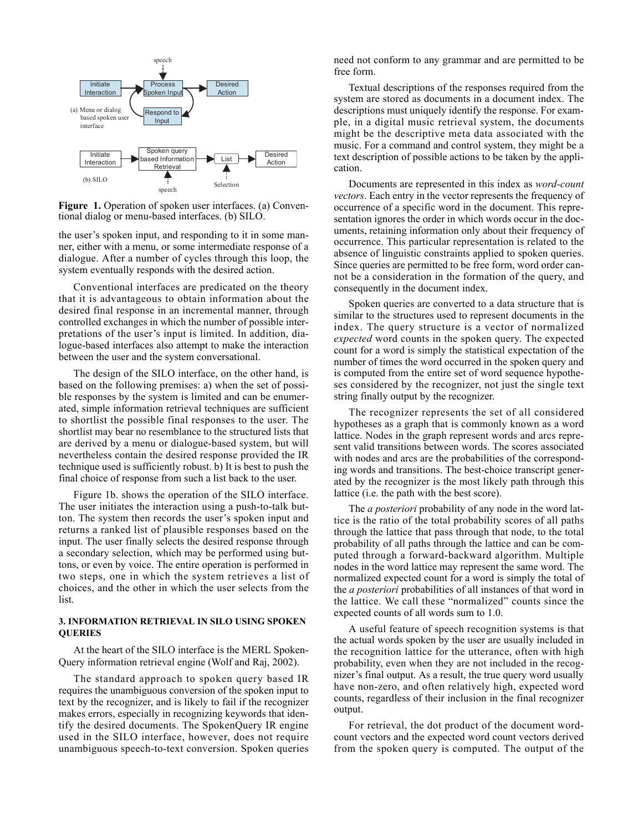

Figure 1. Operation of spoken user interfaces. (a) Conventional dialog or menu-based interfaces. (b) SILO.

the user's spoken input, and responding to it in some manner, either with a menu, or some intermediate response of a dialogue. After a number of cycles through this loop, the system eventually responds with the desired action.

Conventional interfaces are predicated on the theory that it is advantageous to obtain information about the desired final response in an incremental manner, through controlled exchanges in which the number of possible interpretations of the user's input is limited. In addition, dialogue-based interfaces also attempt to make the interaction between the user and the system conversational.

The design of the SILO interface, on the other hand, is based on the following premises: a) when the set of possible responses by the system is limited and can be enumerated, simple information retrieval techniques are sufficient to shortlist the possible final responses to the user. The shortlist may bear no resemblance to the structured lists that are derived by a menu or dialogue-based system, but will nevertheless contain the desired response provided the IR technique used is sufficiently robust. b) It is best to push the final choice of response from such a list back to the user.

Figure 1b. shows the operation of the SILO interface. The user initiates the interaction using a push-to-talk button. The system then records the user's spoken input and returns a ranked list of plausible responses based on the input. The user finally selects the desired response through a secondary selection, which may be performed using buttons, or even by voice. The entire operation is performed in two steps, one in which the system retrieves a list of choices, and the other in which the user selects from the list.

# **3. INFORMATION RETRIEVAL IN SILO USING SPOKEN QUERIES**

At the heart of the SILO interface is the MERL Spoken-Query information retrieval engine (Wolf and Raj, 2002).

The standard approach to spoken query based IR requires the unambiguous conversion of the spoken input to text by the recognizer, and is likely to fail if the recognizer makes errors, especially in recognizing keywords that identify the desired documents. The SpokenQuery IR engine used in the SILO interface, however, does not require unambiguous speech-to-text conversion. Spoken queries need not conform to any grammar and are permitted to be free form.

Textual descriptions of the responses required from the system are stored as documents in a document index. The descriptions must uniquely identify the response. For example, in a digital music retrieval system, the documents might be the descriptive meta data associated with the music. For a command and control system, they might be a text description of possible actions to be taken by the application.

Documents are represented in this index as *word-count vectors*. Each entry in the vector represents the frequency of occurrence of a specific word in the document. This representation ignores the order in which words occur in the documents, retaining information only about their frequency of occurrence. This particular representation is related to the absence of linguistic constraints applied to spoken queries. Since queries are permitted to be free form, word order cannot be a consideration in the formation of the query, and consequently in the document index.

Spoken queries are converted to a data structure that is similar to the structures used to represent documents in the index. The query structure is a vector of normalized *expected* word counts in the spoken query. The expected count for a word is simply the statistical expectation of the number of times the word occurred in the spoken query and is computed from the entire set of word sequence hypotheses considered by the recognizer, not just the single text string finally output by the recognizer.

The recognizer represents the set of all considered hypotheses as a graph that is commonly known as a word lattice. Nodes in the graph represent words and arcs represent valid transitions between words. The scores associated with nodes and arcs are the probabilities of the corresponding words and transitions. The best-choice transcript generated by the recognizer is the most likely path through this lattice (i.e. the path with the best score).

The *a posteriori* probability of any node in the word lattice is the ratio of the total probability scores of all paths through the lattice that pass through that node, to the total probability of all paths through the lattice and can be computed through a forward-backward algorithm. Multiple nodes in the word lattice may represent the same word. The normalized expected count for a word is simply the total of the *a posteriori* probabilities of all instances of that word in the lattice. We call these "normalized" counts since the expected counts of all words sum to 1.0.

A useful feature of speech recognition systems is that the actual words spoken by the user are usually included in the recognition lattice for the utterance, often with high probability, even when they are not included in the recognizer's final output. As a result, the true query word usually have non-zero, and often relatively high, expected word counts, regardless of their inclusion in the final recognizer output.

For retrieval, the dot product of the document wordcount vectors and the expected word count vectors derived from the spoken query is computed. The output of the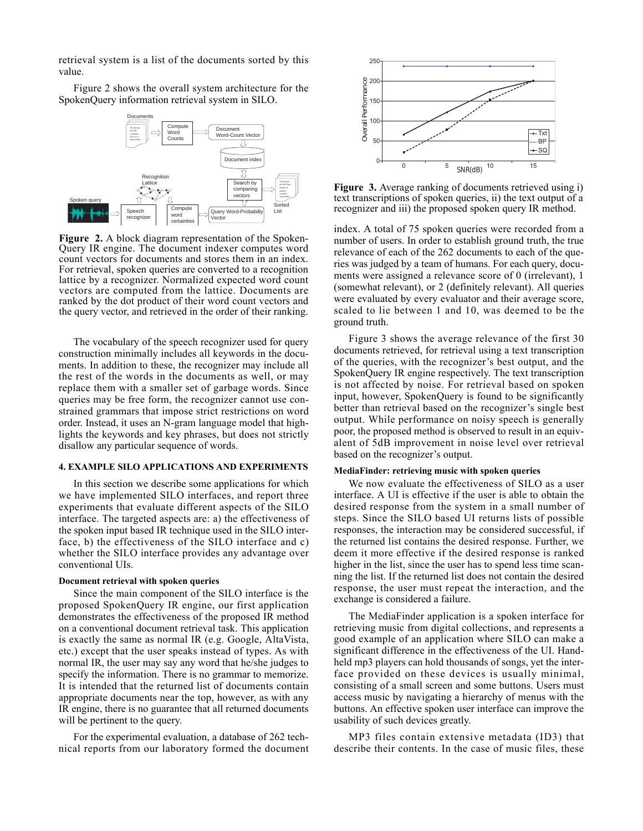retrieval system is a list of the documents sorted by this value.

Figure 2 shows the overall system architecture for the SpokenQuery information retrieval system in SILO.



Figure 2. A block diagram representation of the Spoken-Query IR engine. The document indexer computes word count vectors for documents and stores them in an index. For retrieval, spoken queries are converted to a recognition lattice by a recognizer. Normalized expected word count vectors are computed from the lattice. Documents are ranked by the dot product of their word count vectors and the query vector, and retrieved in the order of their ranking.

The vocabulary of the speech recognizer used for query construction minimally includes all keywords in the documents. In addition to these, the recognizer may include all the rest of the words in the documents as well, or may replace them with a smaller set of garbage words. Since queries may be free form, the recognizer cannot use constrained grammars that impose strict restrictions on word order. Instead, it uses an N-gram language model that highlights the keywords and key phrases, but does not strictly disallow any particular sequence of words.

## **4. EXAMPLE SILO APPLICATIONS AND EXPERIMENTS**

In this section we describe some applications for which we have implemented SILO interfaces, and report three experiments that evaluate different aspects of the SILO interface. The targeted aspects are: a) the effectiveness of the spoken input based IR technique used in the SILO interface, b) the effectiveness of the SILO interface and c) whether the SILO interface provides any advantage over conventional UIs.

### **Document retrieval with spoken queries**

Since the main component of the SILO interface is the proposed SpokenQuery IR engine, our first application demonstrates the effectiveness of the proposed IR method on a conventional document retrieval task. This application is exactly the same as normal IR (e.g. Google, AltaVista, etc.) except that the user speaks instead of types. As with normal IR, the user may say any word that he/she judges to specify the information. There is no grammar to memorize. It is intended that the returned list of documents contain appropriate documents near the top, however, as with any IR engine, there is no guarantee that all returned documents will be pertinent to the query.

For the experimental evaluation, a database of 262 technical reports from our laboratory formed the document



**Figure 3.** Average ranking of documents retrieved using i) text transcriptions of spoken queries, ii) the text output of a recognizer and iii) the proposed spoken query IR method.

index. A total of 75 spoken queries were recorded from a number of users. In order to establish ground truth, the true relevance of each of the 262 documents to each of the queries was judged by a team of humans. For each query, documents were assigned a relevance score of 0 (irrelevant), 1 (somewhat relevant), or 2 (definitely relevant). All queries were evaluated by every evaluator and their average score, scaled to lie between 1 and 10, was deemed to be the ground truth.

Figure 3 shows the average relevance of the first 30 documents retrieved, for retrieval using a text transcription of the queries, with the recognizer's best output, and the SpokenQuery IR engine respectively. The text transcription is not affected by noise. For retrieval based on spoken input, however, SpokenQuery is found to be significantly better than retrieval based on the recognizer's single best output. While performance on noisy speech is generally poor, the proposed method is observed to result in an equivalent of 5dB improvement in noise level over retrieval based on the recognizer's output.

## **MediaFinder: retrieving music with spoken queries**

We now evaluate the effectiveness of SILO as a user interface. A UI is effective if the user is able to obtain the desired response from the system in a small number of steps. Since the SILO based UI returns lists of possible responses, the interaction may be considered successful, if the returned list contains the desired response. Further, we deem it more effective if the desired response is ranked higher in the list, since the user has to spend less time scanning the list. If the returned list does not contain the desired response, the user must repeat the interaction, and the exchange is considered a failure.

The MediaFinder application is a spoken interface for retrieving music from digital collections, and represents a good example of an application where SILO can make a significant difference in the effectiveness of the UI. Handheld mp3 players can hold thousands of songs, yet the interface provided on these devices is usually minimal, consisting of a small screen and some buttons. Users must access music by navigating a hierarchy of menus with the buttons. An effective spoken user interface can improve the usability of such devices greatly.

MP3 files contain extensive metadata (ID3) that describe their contents. In the case of music files, these